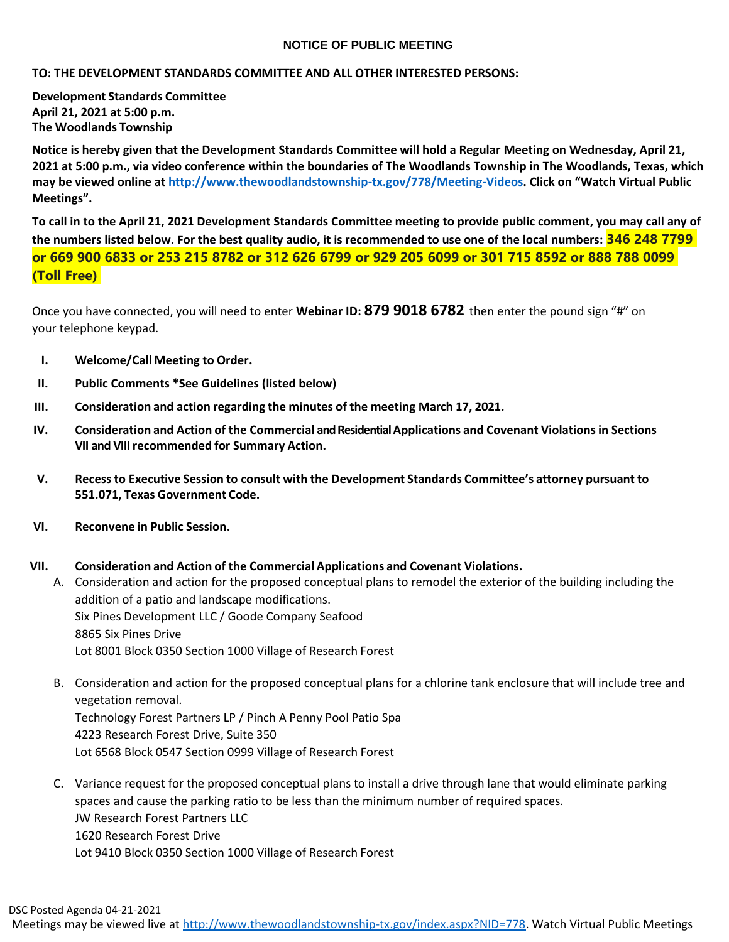# **NOTICE OF PUBLIC MEETING**

# **TO: THE DEVELOPMENT STANDARDS COMMITTEE AND ALL OTHER INTERESTED PERSONS:**

**Development Standards Committee April 21, 2021 at 5:00 p.m. The Woodlands Township**

Notice is hereby given that the Development Standards Committee will hold a Regular Meeting on Wednesday, April 21, 2021 at 5:00 p.m., via video conference within the boundaries of The Woodlands Township in The Woodlands, Texas, which **may be viewed online at [http://www.thewoodlandstownship-tx.gov/778/Meeting-Videos.](http://www.thewoodlandstownship-tx.gov/778/Meeting-Videos) Click on "Watch Virtual Public Meetings".**

To call in to the April 21, 2021 Development Standards Committee meeting to provide public comment, you may call any of the numbers listed below. For the best quality audio, it is recommended to use one of the local numbers: 346 248 7799 **or 669 900 6833 or 253 215 8782 or 312 626 6799 or 929 205 6099 or 301 715 8592 or 888 788 0099 (Toll Free)** 

Once you have connected, you will need to enter **Webinar ID: 879 9018 6782** then enter the pound sign "#" on your telephone keypad.

- **I. Welcome/Call Meeting to Order.**
- **II. Public Comments \*See Guidelines (listed below)**
- **III. Consideration and action regarding the minutes of the meeting March 17, 2021.**
- **IV. Consideration and Action of the Commercial and Residential Applications and Covenant Violationsin Sections VII and VIIIrecommended for Summary Action.**
- **V. Recessto Executive Session to consult with the Development Standards Committee's attorney pursuant to 551.071, Texas Government Code.**
- **VI. Reconvene in Public Session.**

## **VII. Consideration and Action of the Commercial Applications and Covenant Violations.**

A. Consideration and action for the proposed conceptual plans to remodel the exterior of the building including the addition of a patio and landscape modifications. Six Pines Development LLC / Goode Company Seafood 8865 Six Pines Drive Lot 8001 Block 0350 Section 1000 Village of Research Forest

- B. Consideration and action for the proposed conceptual plans for a chlorine tank enclosure that will include tree and vegetation removal. Technology Forest Partners LP / Pinch A Penny Pool Patio Spa 4223 Research Forest Drive, Suite 350 Lot 6568 Block 0547 Section 0999 Village of Research Forest
- C. Variance request for the proposed conceptual plans to install a drive through lane that would eliminate parking spaces and cause the parking ratio to be less than the minimum number of required spaces. JW Research Forest Partners LLC 1620 Research Forest Drive Lot 9410 Block 0350 Section 1000 Village of Research Forest

Meetings may be viewed live at [http://www.thewoodlandstownship-tx.gov/index.aspx?NID=778.](http://www.thewoodlandstownship-tx.gov/index.aspx?NID=778) Watch Virtual Public Meetings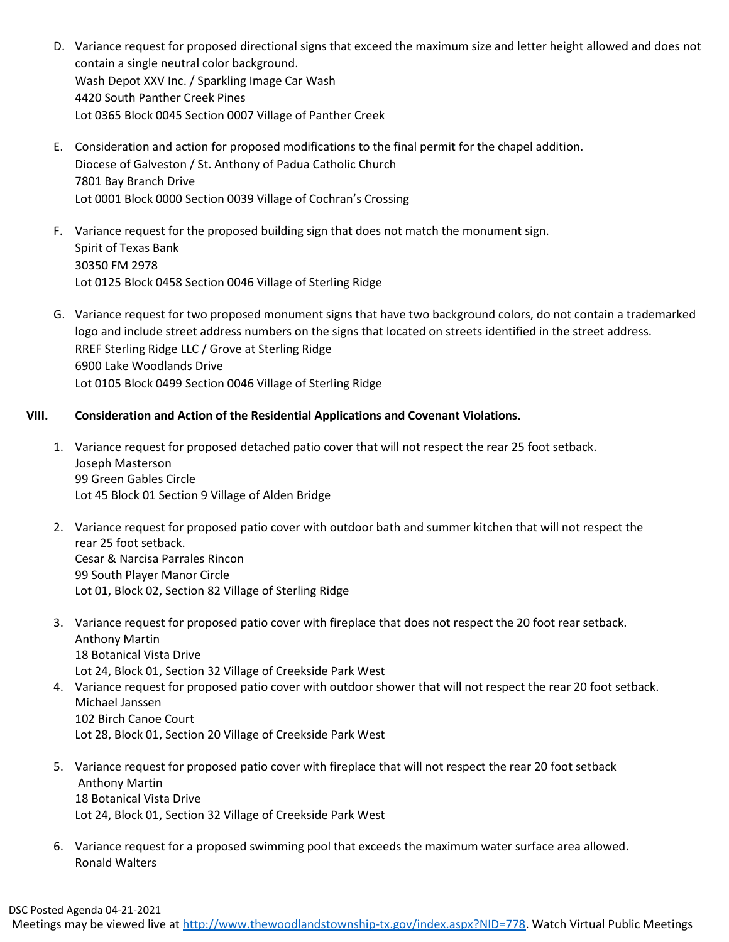- D. Variance request for proposed directional signs that exceed the maximum size and letter height allowed and does not contain a single neutral color background. Wash Depot XXV Inc. / Sparkling Image Car Wash 4420 South Panther Creek Pines Lot 0365 Block 0045 Section 0007 Village of Panther Creek
- E. Consideration and action for proposed modifications to the final permit for the chapel addition. Diocese of Galveston / St. Anthony of Padua Catholic Church 7801 Bay Branch Drive Lot 0001 Block 0000 Section 0039 Village of Cochran's Crossing
- F. Variance request for the proposed building sign that does not match the monument sign. Spirit of Texas Bank 30350 FM 2978 Lot 0125 Block 0458 Section 0046 Village of Sterling Ridge
- G. Variance request for two proposed monument signs that have two background colors, do not contain a trademarked logo and include street address numbers on the signs that located on streets identified in the street address. RREF Sterling Ridge LLC / Grove at Sterling Ridge 6900 Lake Woodlands Drive Lot 0105 Block 0499 Section 0046 Village of Sterling Ridge

# **VIII. Consideration and Action of the Residential Applications and Covenant Violations.**

- 1. Variance request for proposed detached patio cover that will not respect the rear 25 foot setback. Joseph Masterson 99 Green Gables Circle Lot 45 Block 01 Section 9 Village of Alden Bridge
- 2. Variance request for proposed patio cover with outdoor bath and summer kitchen that will not respect the rear 25 foot setback. Cesar & Narcisa Parrales Rincon 99 South Player Manor Circle Lot 01, Block 02, Section 82 Village of Sterling Ridge
- 3. Variance request for proposed patio cover with fireplace that does not respect the 20 foot rear setback. Anthony Martin 18 Botanical Vista Drive Lot 24, Block 01, Section 32 Village of Creekside Park West
- 4. Variance request for proposed patio cover with outdoor shower that will not respect the rear 20 foot setback. Michael Janssen 102 Birch Canoe Court Lot 28, Block 01, Section 20 Village of Creekside Park West
- 5. Variance request for proposed patio cover with fireplace that will not respect the rear 20 foot setback Anthony Martin 18 Botanical Vista Drive Lot 24, Block 01, Section 32 Village of Creekside Park West
- 6. Variance request for a proposed swimming pool that exceeds the maximum water surface area allowed. Ronald Walters

Meetings may be viewed live at [http://www.thewoodlandstownship-tx.gov/index.aspx?NID=778.](http://www.thewoodlandstownship-tx.gov/index.aspx?NID=778) Watch Virtual Public Meetings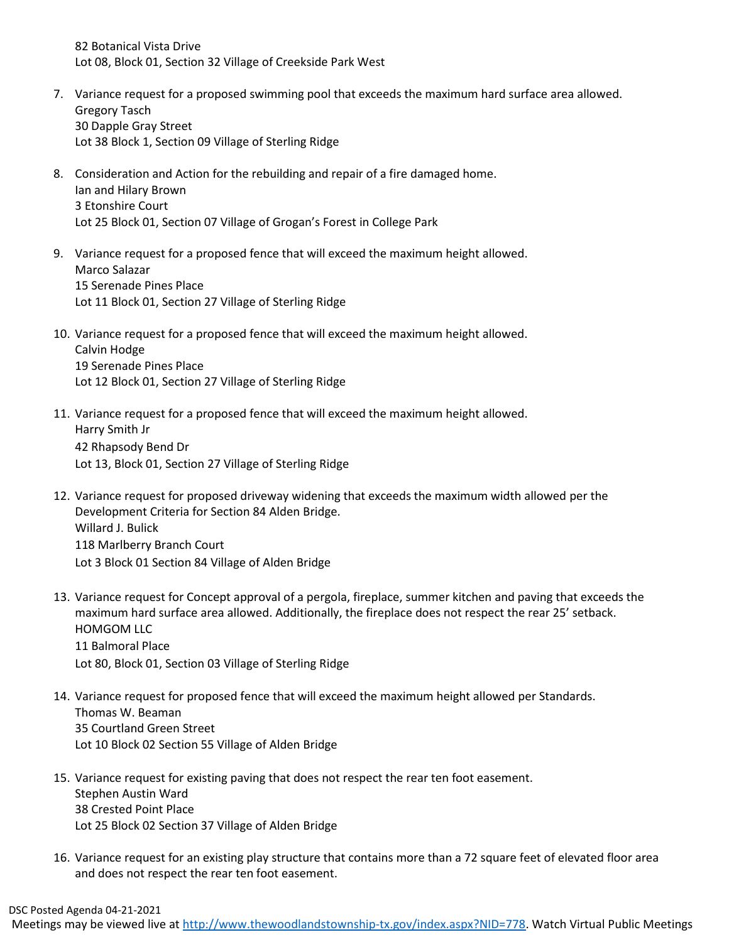82 Botanical Vista Drive Lot 08, Block 01, Section 32 Village of Creekside Park West

- 7. Variance request for a proposed swimming pool that exceeds the maximum hard surface area allowed. Gregory Tasch 30 Dapple Gray Street Lot 38 Block 1, Section 09 Village of Sterling Ridge
- 8. Consideration and Action for the rebuilding and repair of a fire damaged home. Ian and Hilary Brown 3 Etonshire Court Lot 25 Block 01, Section 07 Village of Grogan's Forest in College Park
- 9. Variance request for a proposed fence that will exceed the maximum height allowed. Marco Salazar 15 Serenade Pines Place Lot 11 Block 01, Section 27 Village of Sterling Ridge
- 10. Variance request for a proposed fence that will exceed the maximum height allowed. Calvin Hodge 19 Serenade Pines Place Lot 12 Block 01, Section 27 Village of Sterling Ridge
- 11. Variance request for a proposed fence that will exceed the maximum height allowed. Harry Smith Jr 42 Rhapsody Bend Dr Lot 13, Block 01, Section 27 Village of Sterling Ridge
- 12. Variance request for proposed driveway widening that exceeds the maximum width allowed per the Development Criteria for Section 84 Alden Bridge. Willard J. Bulick 118 Marlberry Branch Court Lot 3 Block 01 Section 84 Village of Alden Bridge
- 13. Variance request for Concept approval of a pergola, fireplace, summer kitchen and paving that exceeds the maximum hard surface area allowed. Additionally, the fireplace does not respect the rear 25' setback. HOMGOM LLC 11 Balmoral Place Lot 80, Block 01, Section 03 Village of Sterling Ridge
- 14. Variance request for proposed fence that will exceed the maximum height allowed per Standards. Thomas W. Beaman 35 Courtland Green Street Lot 10 Block 02 Section 55 Village of Alden Bridge
- 15. Variance request for existing paving that does not respect the rear ten foot easement. Stephen Austin Ward 38 Crested Point Place Lot 25 Block 02 Section 37 Village of Alden Bridge
- 16. Variance request for an existing play structure that contains more than a 72 square feet of elevated floor area and does not respect the rear ten foot easement.

Meetings may be viewed live at [http://www.thewoodlandstownship-tx.gov/index.aspx?NID=778.](http://www.thewoodlandstownship-tx.gov/index.aspx?NID=778) Watch Virtual Public Meetings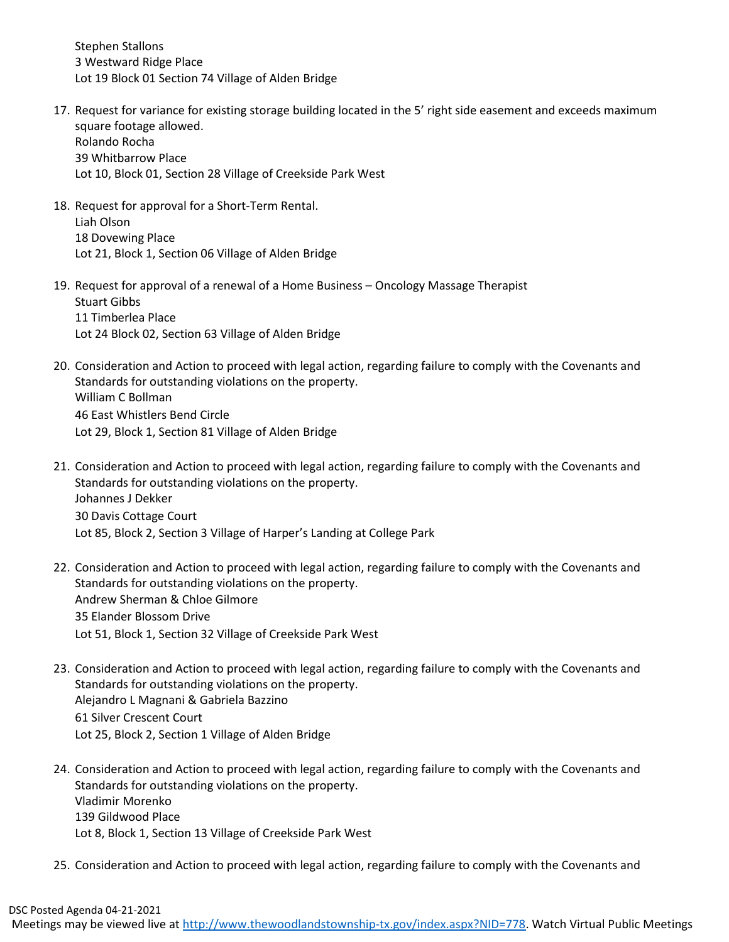Stephen Stallons 3 Westward Ridge Place Lot 19 Block 01 Section 74 Village of Alden Bridge

- 17. Request for variance for existing storage building located in the 5' right side easement and exceeds maximum square footage allowed. Rolando Rocha 39 Whitbarrow Place Lot 10, Block 01, Section 28 Village of Creekside Park West
- 18. Request for approval for a Short-Term Rental. Liah Olson 18 Dovewing Place Lot 21, Block 1, Section 06 Village of Alden Bridge
- 19. Request for approval of a renewal of a Home Business Oncology Massage Therapist Stuart Gibbs 11 Timberlea Place Lot 24 Block 02, Section 63 Village of Alden Bridge
- 20. Consideration and Action to proceed with legal action, regarding failure to comply with the Covenants and Standards for outstanding violations on the property. William C Bollman 46 East Whistlers Bend Circle Lot 29, Block 1, Section 81 Village of Alden Bridge
- 21. Consideration and Action to proceed with legal action, regarding failure to comply with the Covenants and Standards for outstanding violations on the property. Johannes J Dekker 30 Davis Cottage Court Lot 85, Block 2, Section 3 Village of Harper's Landing at College Park
- 22. Consideration and Action to proceed with legal action, regarding failure to comply with the Covenants and Standards for outstanding violations on the property. Andrew Sherman & Chloe Gilmore 35 Elander Blossom Drive Lot 51, Block 1, Section 32 Village of Creekside Park West
- 23. Consideration and Action to proceed with legal action, regarding failure to comply with the Covenants and Standards for outstanding violations on the property. Alejandro L Magnani & Gabriela Bazzino 61 Silver Crescent Court Lot 25, Block 2, Section 1 Village of Alden Bridge
- 24. Consideration and Action to proceed with legal action, regarding failure to comply with the Covenants and Standards for outstanding violations on the property. Vladimir Morenko 139 Gildwood Place Lot 8, Block 1, Section 13 Village of Creekside Park West
- 25. Consideration and Action to proceed with legal action, regarding failure to comply with the Covenants and

Meetings may be viewed live at http://www.thewoodlandstownship-tx.gov/index.aspx?NID=778</u>. Watch Virtual Public Meetings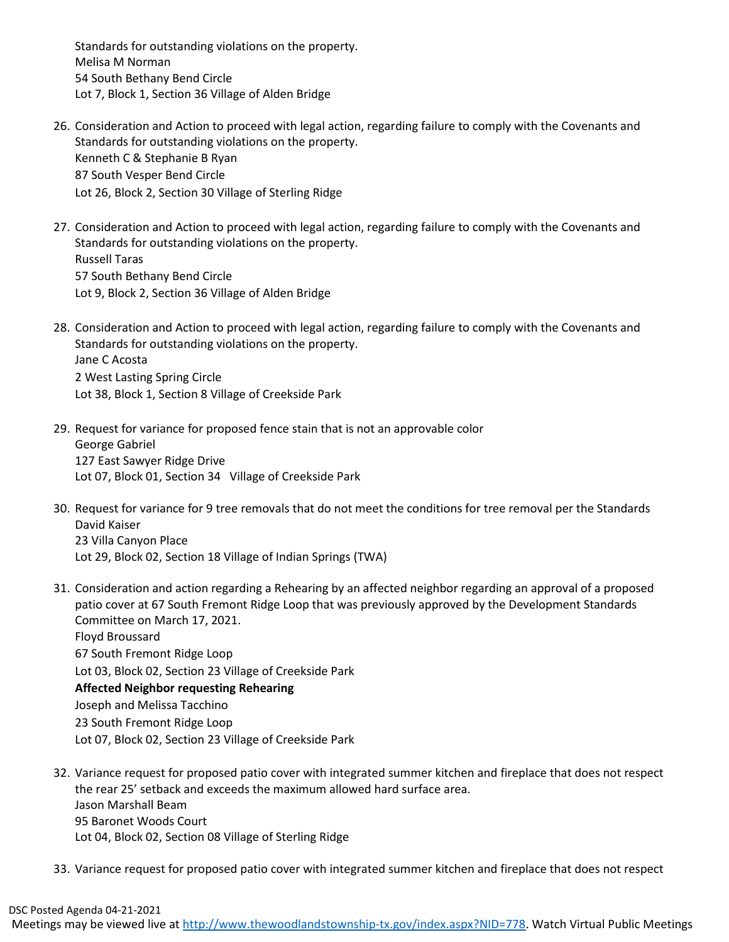Standards for outstanding violations on the property. Melisa M Norman 54 South Bethany Bend Circle Lot 7, Block 1, Section 36 Village of Alden Bridge

- 26. Consideration and Action to proceed with legal action, regarding failure to comply with the Covenants and Standards for outstanding violations on the property. Kenneth C & Stephanie B Ryan 87 South Vesper Bend Circle Lot 26, Block 2, Section 30 Village of Sterling Ridge
- 27. Consideration and Action to proceed with legal action, regarding failure to comply with the Covenants and Standards for outstanding violations on the property. Russell Taras 57 South Bethany Bend Circle Lot 9, Block 2, Section 36 Village of Alden Bridge
- 28. Consideration and Action to proceed with legal action, regarding failure to comply with the Covenants and Standards for outstanding violations on the property. Jane C Acosta 2 West Lasting Spring Circle Lot 38, Block 1, Section 8 Village of Creekside Park
- 29. Request for variance for proposed fence stain that is not an approvable color George Gabriel 127 East Sawyer Ridge Drive Lot 07, Block 01, Section 34 Village of Creekside Park
- 30. Request for variance for 9 tree removals that do not meet the conditions for tree removal per the Standards David Kaiser 23 Villa Canyon Place Lot 29, Block 02, Section 18 Village of Indian Springs (TWA)
- 31. Consideration and action regarding a Rehearing by an affected neighbor regarding an approval of a proposed patio cover at 67 South Fremont Ridge Loop that was previously approved by the Development Standards Committee on March 17, 2021. Floyd Broussard 67 South Fremont Ridge Loop Lot 03, Block 02, Section 23 Village of Creekside Park **Affected Neighbor requesting Rehearing** Joseph and Melissa Tacchino 23 South Fremont Ridge Loop Lot 07, Block 02, Section 23 Village of Creekside Park
- 32. Variance request for proposed patio cover with integrated summer kitchen and fireplace that does not respect the rear 25' setback and exceeds the maximum allowed hard surface area. Jason Marshall Beam 95 Baronet Woods Court Lot 04, Block 02, Section 08 Village of Sterling Ridge
- 33. Variance request for proposed patio cover with integrated summer kitchen and fireplace that does not respect

Meetings may be viewed live at http://www.thewoodlandstownship-tx.gov/index.aspx?NID=778</u>. Watch Virtual Public Meetings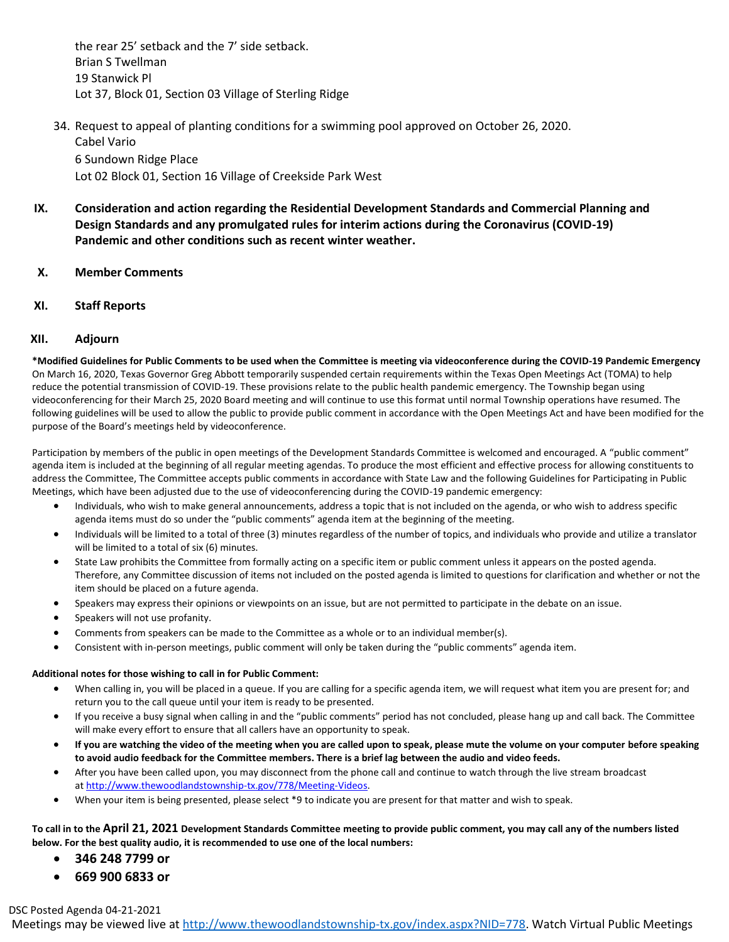the rear 25' setback and the 7' side setback. Brian S Twellman 19 Stanwick Pl Lot 37, Block 01, Section 03 Village of Sterling Ridge

- 34. Request to appeal of planting conditions for a swimming pool approved on October 26, 2020. Cabel Vario 6 Sundown Ridge Place Lot 02 Block 01, Section 16 Village of Creekside Park West
- **IX. Consideration and action regarding the Residential Development Standards and Commercial Planning and Design Standards and any promulgated rules for interim actions during the Coronavirus (COVID-19) Pandemic and other conditions such as recent winter weather.**
- **X. Member Comments**
- **XI. Staff Reports**

## **XII. Adjourn**

**\*Modified Guidelines for Public Comments to be used when the Committee is meeting via videoconference during the COVID-19 Pandemic Emergency** On March 16, 2020, Texas Governor Greg Abbott temporarily suspended certain requirements within the Texas Open Meetings Act (TOMA) to help reduce the potential transmission of COVID-19. These provisions relate to the public health pandemic emergency. The Township began using videoconferencing for their March 25, 2020 Board meeting and will continue to use this format until normal Township operations have resumed. The following guidelines will be used to allow the public to provide public comment in accordance with the Open Meetings Act and have been modified for the purpose of the Board's meetings held by videoconference.

Participation by members of the public in open meetings of the Development Standards Committee is welcomed and encouraged. A "public comment" agenda item is included at the beginning of all regular meeting agendas. To produce the most efficient and effective process for allowing constituents to address the Committee, The Committee accepts public comments in accordance with State Law and the following Guidelines for Participating in Public Meetings, which have been adjusted due to the use of videoconferencing during the COVID-19 pandemic emergency:

- Individuals, who wish to make general announcements, address a topic that is not included on the agenda, or who wish to address specific agenda items must do so under the "public comments" agenda item at the beginning of the meeting.
- Individuals will be limited to a total of three (3) minutes regardless of the number of topics, and individuals who provide and utilize a translator will be limited to a total of six (6) minutes.
- State Law prohibits the Committee from formally acting on a specific item or public comment unless it appears on the posted agenda. Therefore, any Committee discussion of items not included on the posted agenda is limited to questions for clarification and whether or not the item should be placed on a future agenda.
- Speakers may express their opinions or viewpoints on an issue, but are not permitted to participate in the debate on an issue.
- Speakers will not use profanity.
- Comments from speakers can be made to the Committee as a whole or to an individual member(s).
- Consistent with in-person meetings, public comment will only be taken during the "public comments" agenda item.

#### **Additional notes for those wishing to call in for Public Comment:**

- When calling in, you will be placed in a queue. If you are calling for a specific agenda item, we will request what item you are present for; and return you to the call queue until your item is ready to be presented.
- If you receive a busy signal when calling in and the "public comments" period has not concluded, please hang up and call back. The Committee will make every effort to ensure that all callers have an opportunity to speak.
- **If you are watching the video of the meeting when you are called upon to speak, please mute the volume on your computer before speaking to avoid audio feedback for the Committee members. There is a brief lag between the audio and video feeds.**
- After you have been called upon, you may disconnect from the phone call and continue to watch through the live stream broadcast at [http://www.thewoodlandstownship-tx.gov/778/Meeting-Videos.](http://www.thewoodlandstownship-tx.gov/778/Meeting-Videos)
- When your item is being presented, please select \*9 to indicate you are present for that matter and wish to speak.

### **To call in to the April 21, 2021 Development Standards Committee meeting to provide public comment, you may call any of the numbers listed below. For the best quality audio, it is recommended to use one of the local numbers:**

- **346 248 7799 or**
- **669 900 6833 or**

DSC Posted Agenda 04-21-2021

Meetings may be viewed live at http://www.thewoodlandstownship-tx.gov/index.aspx?NID=778</u>. Watch Virtual Public Meetings